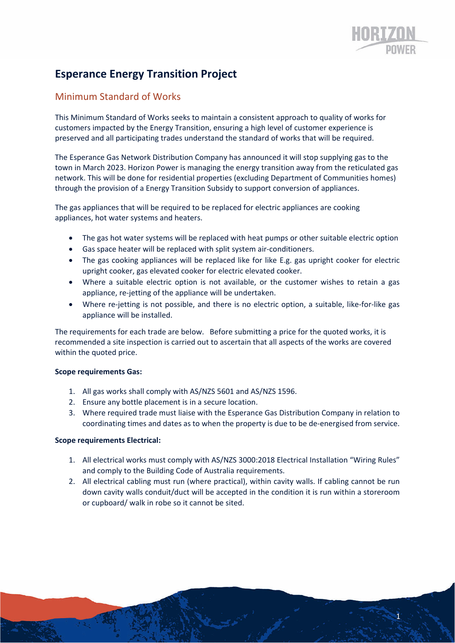1

# **Esperance Energy Transition Project**

## Minimum Standard of Works

This Minimum Standard of Works seeks to maintain a consistent approach to quality of works for customers impacted by the Energy Transition, ensuring a high level of customer experience is preserved and all participating trades understand the standard of works that will be required.

The Esperance Gas Network Distribution Company has announced it will stop supplying gas to the town in March 2023. Horizon Power is managing the energy transition away from the reticulated gas network. This will be done for residential properties (excluding Department of Communities homes) through the provision of a Energy Transition Subsidy to support conversion of appliances.

The gas appliances that will be required to be replaced for electric appliances are cooking appliances, hot water systems and heaters.

- The gas hot water systems will be replaced with heat pumps or other suitable electric option
- Gas space heater will be replaced with split system air‐conditioners.
- The gas cooking appliances will be replaced like for like E.g. gas upright cooker for electric upright cooker, gas elevated cooker for electric elevated cooker.
- Where a suitable electric option is not available, or the customer wishes to retain a gas appliance, re‐jetting of the appliance will be undertaken.
- Where re-jetting is not possible, and there is no electric option, a suitable, like-for-like gas appliance will be installed.

The requirements for each trade are below. Before submitting a price for the quoted works, it is recommended a site inspection is carried out to ascertain that all aspects of the works are covered within the quoted price.

### **Scope requirements Gas:**

- 1. All gas works shall comply with AS/NZS 5601 and AS/NZS 1596.
- 2. Ensure any bottle placement is in a secure location.
- 3. Where required trade must liaise with the Esperance Gas Distribution Company in relation to coordinating times and dates as to when the property is due to be de‐energised from service.

### **Scope requirements Electrical:**

- 1. All electrical works must comply with AS/NZS 3000:2018 Electrical Installation "Wiring Rules" and comply to the Building Code of Australia requirements.
- 2. All electrical cabling must run (where practical), within cavity walls. If cabling cannot be run down cavity walls conduit/duct will be accepted in the condition it is run within a storeroom or cupboard/ walk in robe so it cannot be sited.